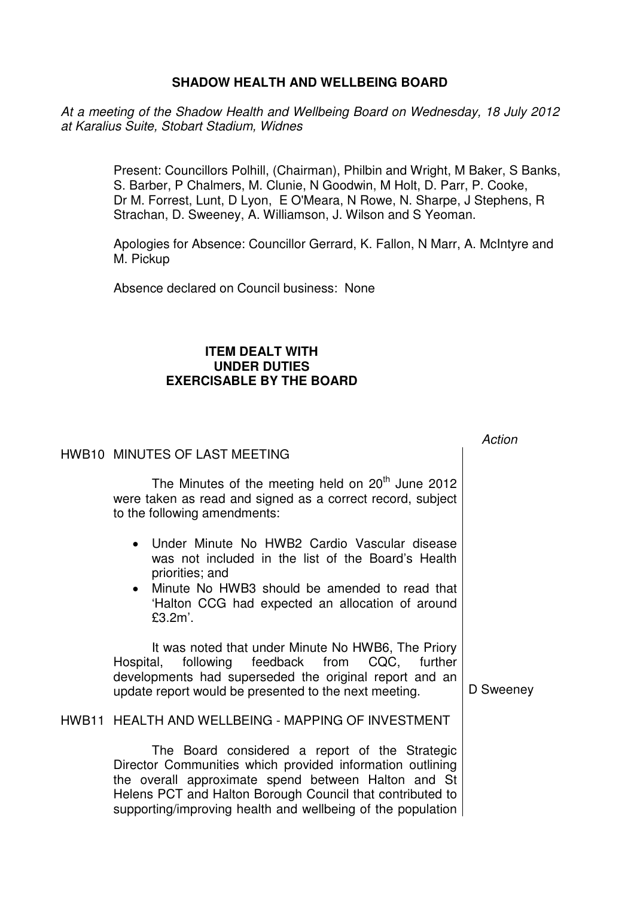## **SHADOW HEALTH AND WELLBEING BOARD**

At a meeting of the Shadow Health and Wellbeing Board on Wednesday, 18 July 2012 at Karalius Suite, Stobart Stadium, Widnes

> Present: Councillors Polhill, (Chairman), Philbin and Wright, M Baker, S Banks, S. Barber, P Chalmers, M. Clunie, N Goodwin, M Holt, D. Parr, P. Cooke, Dr M. Forrest, Lunt, D Lyon, E O'Meara, N Rowe, N. Sharpe, J Stephens, R Strachan, D. Sweeney, A. Williamson, J. Wilson and S Yeoman.

Apologies for Absence: Councillor Gerrard, K. Fallon, N Marr, A. McIntyre and M. Pickup

 $\overline{a}$ 

Absence declared on Council business: None

## **ITEM DEALT WITH UNDER DUTIES EXERCISABLE BY THE BOARD**

| HWB10 MINUTES OF LAST MEETING                                                                                                                                                                                                             | <i>ACtion</i> |
|-------------------------------------------------------------------------------------------------------------------------------------------------------------------------------------------------------------------------------------------|---------------|
| The Minutes of the meeting held on 20 <sup>th</sup> June 2012<br>were taken as read and signed as a correct record, subject<br>to the following amendments:                                                                               |               |
| • Under Minute No HWB2 Cardio Vascular disease<br>was not included in the list of the Board's Health<br>priorities; and<br>• Minute No HWB3 should be amended to read that<br>'Halton CCG had expected an allocation of around<br>£3.2m'. |               |
| It was noted that under Minute No HWB6, The Priory<br>following feedback from CQC, further<br>Hospital,<br>developments had superseded the original report and an<br>update report would be presented to the next meeting.                | D Sweeney     |
| HWB11 HEALTH AND WELLBEING - MAPPING OF INVESTMENT                                                                                                                                                                                        |               |
| The Board considered a report of the Strategic<br>Director Communities which provided information outlining<br>the overall approximate spend between Halton and St<br>Helens PCT and Halton Borough Council that contributed to           |               |

supporting/improving health and wellbeing of the population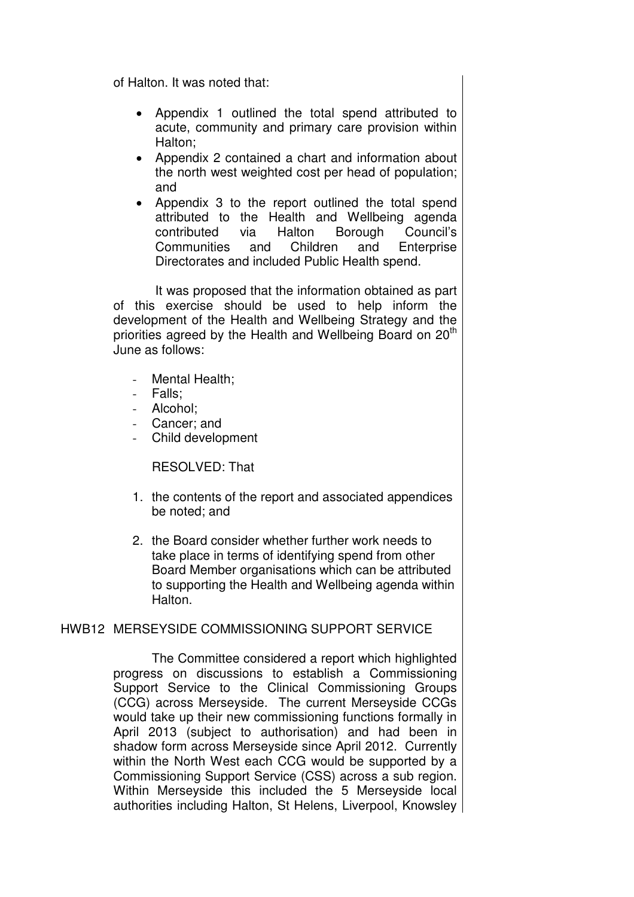of Halton. It was noted that:

- Appendix 1 outlined the total spend attributed to acute, community and primary care provision within Halton;
- Appendix 2 contained a chart and information about the north west weighted cost per head of population; and
- Appendix 3 to the report outlined the total spend attributed to the Health and Wellbeing agenda contributed via Halton Borough Council's Communities and Children and Enterprise Directorates and included Public Health spend.

 It was proposed that the information obtained as part of this exercise should be used to help inform the development of the Health and Wellbeing Strategy and the priorities agreed by the Health and Wellbeing Board on 20<sup>th</sup> June as follows:

- Mental Health;
- Falls:
- Alcohol:
- Cancer; and
- Child development

RESOLVED: That

- 1. the contents of the report and associated appendices be noted; and
- 2. the Board consider whether further work needs to take place in terms of identifying spend from other Board Member organisations which can be attributed to supporting the Health and Wellbeing agenda within Halton.

# HWB12 MERSEYSIDE COMMISSIONING SUPPORT SERVICE

 The Committee considered a report which highlighted progress on discussions to establish a Commissioning Support Service to the Clinical Commissioning Groups (CCG) across Merseyside. The current Merseyside CCGs would take up their new commissioning functions formally in April 2013 (subject to authorisation) and had been in shadow form across Merseyside since April 2012. Currently within the North West each CCG would be supported by a Commissioning Support Service (CSS) across a sub region. Within Merseyside this included the 5 Merseyside local authorities including Halton, St Helens, Liverpool, Knowsley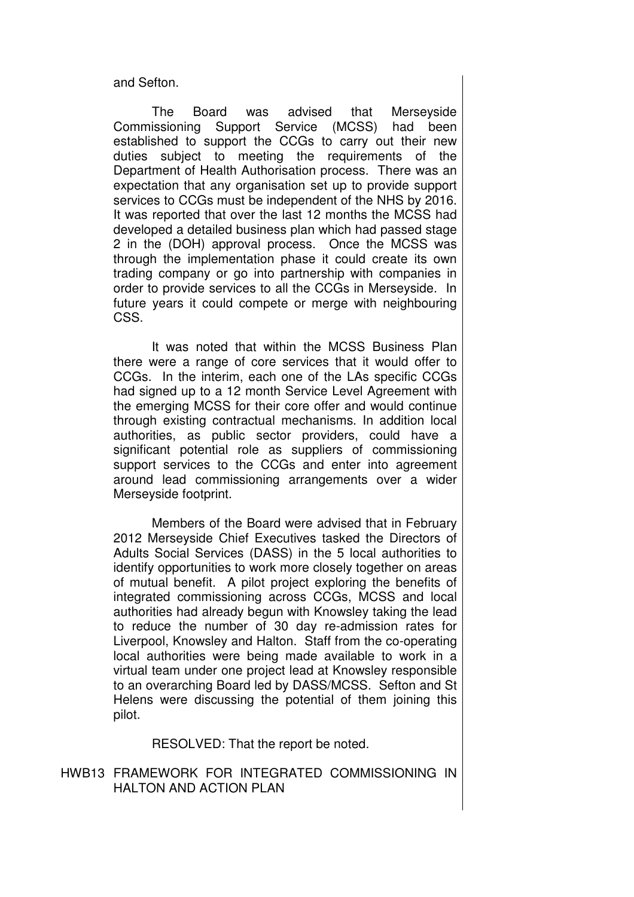and Sefton.

 The Board was advised that Merseyside Commissioning Support Service (MCSS) had been established to support the CCGs to carry out their new duties subject to meeting the requirements of the Department of Health Authorisation process. There was an expectation that any organisation set up to provide support services to CCGs must be independent of the NHS by 2016. It was reported that over the last 12 months the MCSS had developed a detailed business plan which had passed stage 2 in the (DOH) approval process. Once the MCSS was through the implementation phase it could create its own trading company or go into partnership with companies in order to provide services to all the CCGs in Merseyside. In future years it could compete or merge with neighbouring CSS.

 It was noted that within the MCSS Business Plan there were a range of core services that it would offer to CCGs. In the interim, each one of the LAs specific CCGs had signed up to a 12 month Service Level Agreement with the emerging MCSS for their core offer and would continue through existing contractual mechanisms. In addition local authorities, as public sector providers, could have a significant potential role as suppliers of commissioning support services to the CCGs and enter into agreement around lead commissioning arrangements over a wider Merseyside footprint.

 Members of the Board were advised that in February 2012 Merseyside Chief Executives tasked the Directors of Adults Social Services (DASS) in the 5 local authorities to identify opportunities to work more closely together on areas of mutual benefit. A pilot project exploring the benefits of integrated commissioning across CCGs, MCSS and local authorities had already begun with Knowsley taking the lead to reduce the number of 30 day re-admission rates for Liverpool, Knowsley and Halton. Staff from the co-operating local authorities were being made available to work in a virtual team under one project lead at Knowsley responsible to an overarching Board led by DASS/MCSS. Sefton and St Helens were discussing the potential of them joining this pilot.

RESOLVED: That the report be noted.

### HWB13 FRAMEWORK FOR INTEGRATED COMMISSIONING IN HALTON AND ACTION PLAN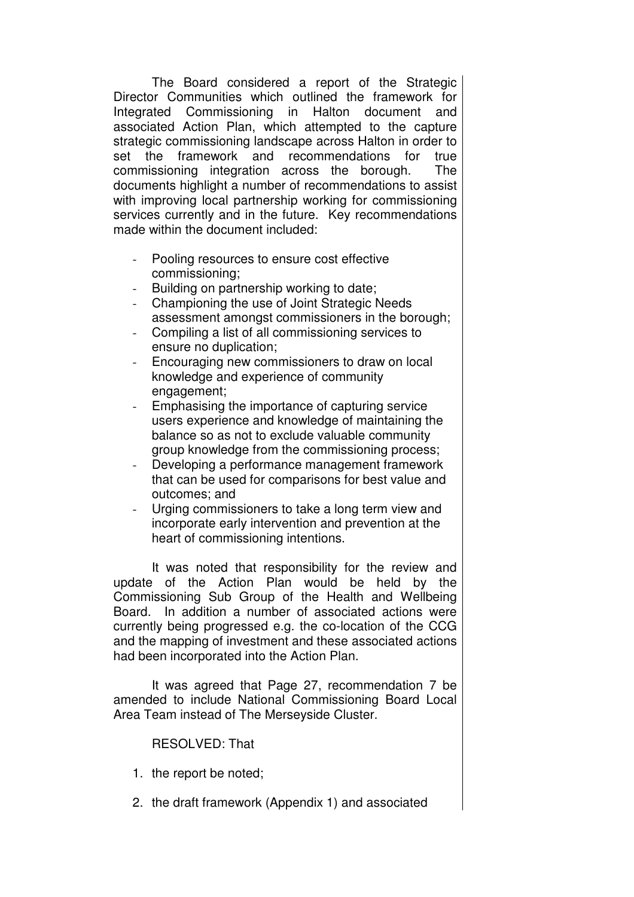The Board considered a report of the Strategic Director Communities which outlined the framework for Integrated Commissioning in Halton document and associated Action Plan, which attempted to the capture strategic commissioning landscape across Halton in order to set the framework and recommendations for true commissioning integration across the borough. The documents highlight a number of recommendations to assist with improving local partnership working for commissioning services currently and in the future. Key recommendations made within the document included:

- Pooling resources to ensure cost effective commissioning;
- Building on partnership working to date;
- Championing the use of Joint Strategic Needs assessment amongst commissioners in the borough;
- Compiling a list of all commissioning services to ensure no duplication;
- Encouraging new commissioners to draw on local knowledge and experience of community engagement;
- Emphasising the importance of capturing service users experience and knowledge of maintaining the balance so as not to exclude valuable community group knowledge from the commissioning process;
- Developing a performance management framework that can be used for comparisons for best value and outcomes; and
- Urging commissioners to take a long term view and incorporate early intervention and prevention at the heart of commissioning intentions.

 It was noted that responsibility for the review and update of the Action Plan would be held by the Commissioning Sub Group of the Health and Wellbeing Board. In addition a number of associated actions were currently being progressed e.g. the co-location of the CCG and the mapping of investment and these associated actions had been incorporated into the Action Plan.

 It was agreed that Page 27, recommendation 7 be amended to include National Commissioning Board Local Area Team instead of The Merseyside Cluster.

# RESOLVED: That

- 1. the report be noted;
- 2. the draft framework (Appendix 1) and associated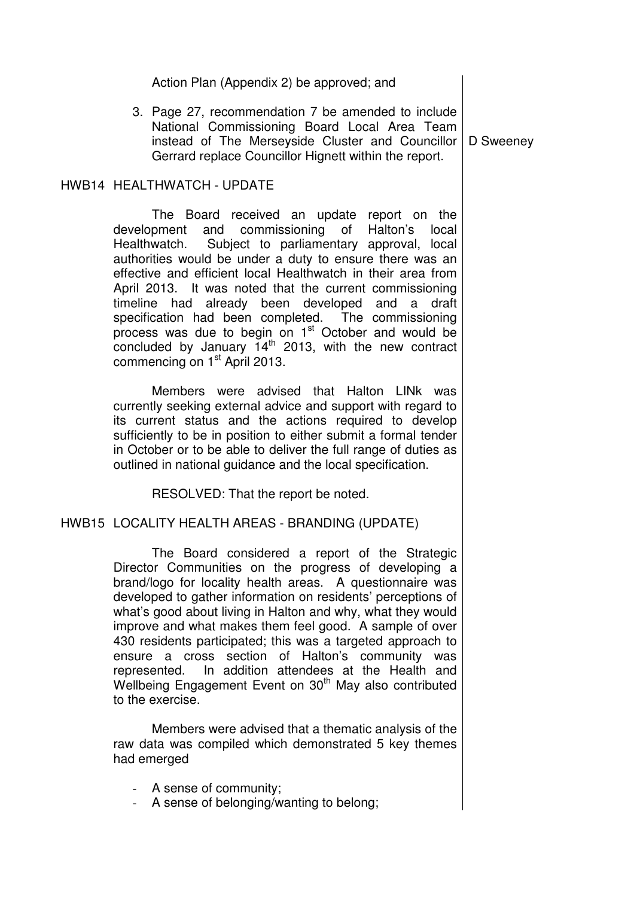| 3. Page 27, recommendation 7 be amended to include<br>National Commissioning Board Local Area Team<br>instead of The Merseyside Cluster and Councillor   D Sweeney<br>Gerrard replace Councillor Hignett within the report. |  |
|-----------------------------------------------------------------------------------------------------------------------------------------------------------------------------------------------------------------------------|--|
|                                                                                                                                                                                                                             |  |

Action Plan (Appendix 2) be approved; and

#### HWB14 HEALTHWATCH - UPDATE

 The Board received an update report on the development and commissioning of Halton's local Healthwatch. Subject to parliamentary approval, local authorities would be under a duty to ensure there was an effective and efficient local Healthwatch in their area from April 2013. It was noted that the current commissioning timeline had already been developed and a draft specification had been completed. The commissioning process was due to begin on 1<sup>st</sup> October and would be concluded by January 14th 2013, with the new contract commencing on 1<sup>st</sup> April 2013.

 Members were advised that Halton LINk was currently seeking external advice and support with regard to its current status and the actions required to develop sufficiently to be in position to either submit a formal tender in October or to be able to deliver the full range of duties as outlined in national guidance and the local specification.

RESOLVED: That the report be noted.

HWB15 LOCALITY HEALTH AREAS - BRANDING (UPDATE)

 The Board considered a report of the Strategic Director Communities on the progress of developing a brand/logo for locality health areas. A questionnaire was developed to gather information on residents' perceptions of what's good about living in Halton and why, what they would improve and what makes them feel good. A sample of over 430 residents participated; this was a targeted approach to ensure a cross section of Halton's community was represented. In addition attendees at the Health and Wellbeing Engagement Event on 30<sup>th</sup> May also contributed to the exercise.

 Members were advised that a thematic analysis of the raw data was compiled which demonstrated 5 key themes had emerged

- A sense of community;
- A sense of belonging/wanting to belong;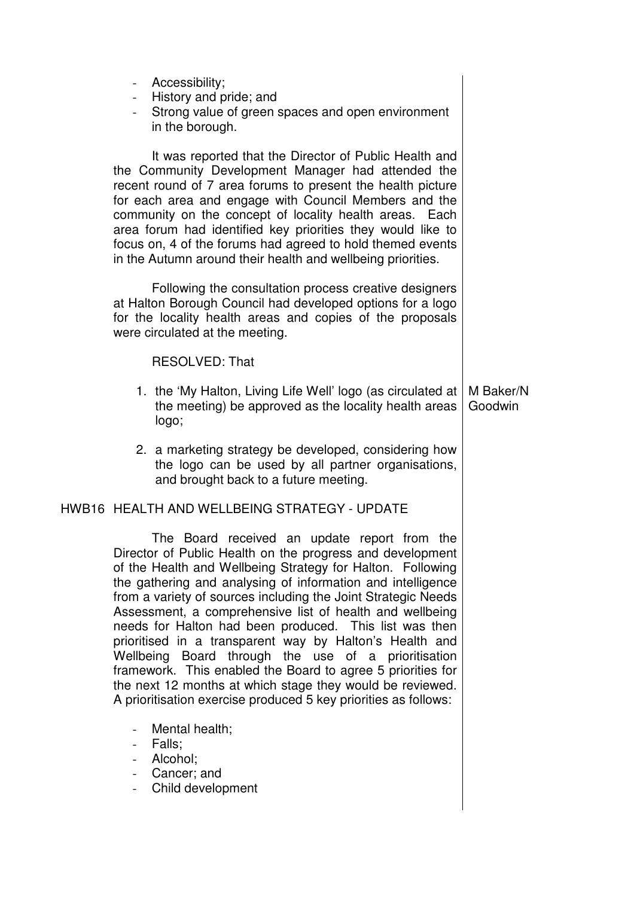- Accessibility;
- History and pride; and
- Strong value of green spaces and open environment in the borough.

 It was reported that the Director of Public Health and the Community Development Manager had attended the recent round of 7 area forums to present the health picture for each area and engage with Council Members and the community on the concept of locality health areas. Each area forum had identified key priorities they would like to focus on, 4 of the forums had agreed to hold themed events in the Autumn around their health and wellbeing priorities.

 Following the consultation process creative designers at Halton Borough Council had developed options for a logo for the locality health areas and copies of the proposals were circulated at the meeting.

### RESOLVED: That

- 1. the 'My Halton, Living Life Well' logo (as circulated at the meeting) be approved as the locality health areas logo; M Baker/N Goodwin
- 2. a marketing strategy be developed, considering how the logo can be used by all partner organisations, and brought back to a future meeting.

# HWB16 HEALTH AND WELLBEING STRATEGY - UPDATE

 The Board received an update report from the Director of Public Health on the progress and development of the Health and Wellbeing Strategy for Halton. Following the gathering and analysing of information and intelligence from a variety of sources including the Joint Strategic Needs Assessment, a comprehensive list of health and wellbeing needs for Halton had been produced. This list was then prioritised in a transparent way by Halton's Health and Wellbeing Board through the use of a prioritisation framework. This enabled the Board to agree 5 priorities for the next 12 months at which stage they would be reviewed. A prioritisation exercise produced 5 key priorities as follows:

- Mental health:
- Falls;
- Alcohol;
- Cancer; and
- Child development